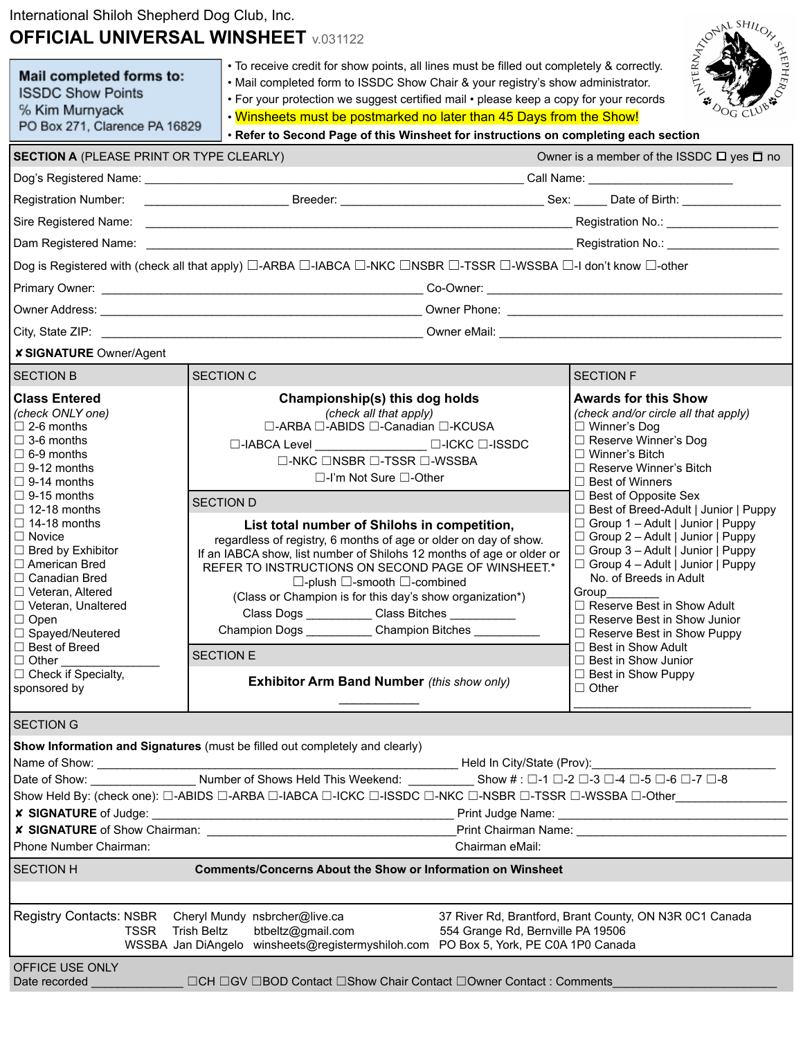## International Shiloh Shepherd Dog Club, Inc. **OFFICIAL UNIVERSAL WINSHEET** v.031122

| International Shilon Shepherd Dog Club, Inc.<br><b>OFFICIAL UNIVERSAL WINSHEET</b> v.031122                                                                                                                                                                                                                                                                                                                                                                                                                                                                                                        |                                      |                                                                                                                                                                                                                                                                                                                                                                                                                                                                                                                                                                                                                                                                                                                                                                             |  |                                                                                                                                                                                                                                                                                                                                                                                                                                                                                                                                                                                                                                                                                             | ONAL SHILOR                           |
|----------------------------------------------------------------------------------------------------------------------------------------------------------------------------------------------------------------------------------------------------------------------------------------------------------------------------------------------------------------------------------------------------------------------------------------------------------------------------------------------------------------------------------------------------------------------------------------------------|--------------------------------------|-----------------------------------------------------------------------------------------------------------------------------------------------------------------------------------------------------------------------------------------------------------------------------------------------------------------------------------------------------------------------------------------------------------------------------------------------------------------------------------------------------------------------------------------------------------------------------------------------------------------------------------------------------------------------------------------------------------------------------------------------------------------------------|--|---------------------------------------------------------------------------------------------------------------------------------------------------------------------------------------------------------------------------------------------------------------------------------------------------------------------------------------------------------------------------------------------------------------------------------------------------------------------------------------------------------------------------------------------------------------------------------------------------------------------------------------------------------------------------------------------|---------------------------------------|
| Mail completed forms to:<br><b>ISSDC Show Points</b><br>% Kim Murnyack<br>PO Box 271, Clarence PA 16829                                                                                                                                                                                                                                                                                                                                                                                                                                                                                            |                                      | • To receive credit for show points, all lines must be filled out completely & correctly.<br>• Mail completed form to ISSDC Show Chair & your registry's show administrator.<br>• For your protection we suggest certified mail • please keep a copy for your records<br>. Winsheets must be postmarked no later than 45 Days from the Show!<br>. Refer to Second Page of this Winsheet for instructions on completing each section                                                                                                                                                                                                                                                                                                                                         |  |                                                                                                                                                                                                                                                                                                                                                                                                                                                                                                                                                                                                                                                                                             | <b>DOG CLURANTS</b><br><b>ALERNAY</b> |
| <b>SECTION A (PLEASE PRINT OR TYPE CLEARLY)</b>                                                                                                                                                                                                                                                                                                                                                                                                                                                                                                                                                    |                                      |                                                                                                                                                                                                                                                                                                                                                                                                                                                                                                                                                                                                                                                                                                                                                                             |  | Owner is a member of the ISSDC $\Box$ yes $\Box$ no                                                                                                                                                                                                                                                                                                                                                                                                                                                                                                                                                                                                                                         |                                       |
|                                                                                                                                                                                                                                                                                                                                                                                                                                                                                                                                                                                                    |                                      |                                                                                                                                                                                                                                                                                                                                                                                                                                                                                                                                                                                                                                                                                                                                                                             |  |                                                                                                                                                                                                                                                                                                                                                                                                                                                                                                                                                                                                                                                                                             |                                       |
|                                                                                                                                                                                                                                                                                                                                                                                                                                                                                                                                                                                                    |                                      |                                                                                                                                                                                                                                                                                                                                                                                                                                                                                                                                                                                                                                                                                                                                                                             |  |                                                                                                                                                                                                                                                                                                                                                                                                                                                                                                                                                                                                                                                                                             |                                       |
|                                                                                                                                                                                                                                                                                                                                                                                                                                                                                                                                                                                                    |                                      |                                                                                                                                                                                                                                                                                                                                                                                                                                                                                                                                                                                                                                                                                                                                                                             |  |                                                                                                                                                                                                                                                                                                                                                                                                                                                                                                                                                                                                                                                                                             |                                       |
|                                                                                                                                                                                                                                                                                                                                                                                                                                                                                                                                                                                                    |                                      |                                                                                                                                                                                                                                                                                                                                                                                                                                                                                                                                                                                                                                                                                                                                                                             |  |                                                                                                                                                                                                                                                                                                                                                                                                                                                                                                                                                                                                                                                                                             |                                       |
|                                                                                                                                                                                                                                                                                                                                                                                                                                                                                                                                                                                                    |                                      |                                                                                                                                                                                                                                                                                                                                                                                                                                                                                                                                                                                                                                                                                                                                                                             |  |                                                                                                                                                                                                                                                                                                                                                                                                                                                                                                                                                                                                                                                                                             |                                       |
|                                                                                                                                                                                                                                                                                                                                                                                                                                                                                                                                                                                                    |                                      | Dog is Registered with (check all that apply) □-ARBA □-IABCA □-NKC □NSBR □-TSSR □-WSSBA □-I don't know □-other                                                                                                                                                                                                                                                                                                                                                                                                                                                                                                                                                                                                                                                              |  |                                                                                                                                                                                                                                                                                                                                                                                                                                                                                                                                                                                                                                                                                             |                                       |
|                                                                                                                                                                                                                                                                                                                                                                                                                                                                                                                                                                                                    |                                      |                                                                                                                                                                                                                                                                                                                                                                                                                                                                                                                                                                                                                                                                                                                                                                             |  |                                                                                                                                                                                                                                                                                                                                                                                                                                                                                                                                                                                                                                                                                             |                                       |
|                                                                                                                                                                                                                                                                                                                                                                                                                                                                                                                                                                                                    |                                      |                                                                                                                                                                                                                                                                                                                                                                                                                                                                                                                                                                                                                                                                                                                                                                             |  |                                                                                                                                                                                                                                                                                                                                                                                                                                                                                                                                                                                                                                                                                             |                                       |
|                                                                                                                                                                                                                                                                                                                                                                                                                                                                                                                                                                                                    |                                      |                                                                                                                                                                                                                                                                                                                                                                                                                                                                                                                                                                                                                                                                                                                                                                             |  |                                                                                                                                                                                                                                                                                                                                                                                                                                                                                                                                                                                                                                                                                             |                                       |
| <b>x SIGNATURE Owner/Agent</b>                                                                                                                                                                                                                                                                                                                                                                                                                                                                                                                                                                     |                                      |                                                                                                                                                                                                                                                                                                                                                                                                                                                                                                                                                                                                                                                                                                                                                                             |  |                                                                                                                                                                                                                                                                                                                                                                                                                                                                                                                                                                                                                                                                                             |                                       |
| <b>SECTION B</b>                                                                                                                                                                                                                                                                                                                                                                                                                                                                                                                                                                                   | <b>SECTION C</b>                     |                                                                                                                                                                                                                                                                                                                                                                                                                                                                                                                                                                                                                                                                                                                                                                             |  | <b>SECTION F</b>                                                                                                                                                                                                                                                                                                                                                                                                                                                                                                                                                                                                                                                                            |                                       |
| <b>Class Entered</b><br>(check ONLY one)<br>$\Box$ 2-6 months<br>$\Box$ 3-6 months<br>$\Box$ 6-9 months<br>$\Box$ 9-12 months<br>$\Box$ 9-14 months<br>$\Box$ 9-15 months<br>$\Box$ 12-18 months<br>$\Box$ 14-18 months<br>$\Box$ Novice<br>$\Box$ Bred by Exhibitor<br>□ American Bred<br>$\Box$ Canadian Bred<br>□ Veteran, Altered<br>$\Box$ Veteran, Unaltered<br>$\Box$ Open<br>□ Spayed/Neutered<br>$\Box$ Best of Breed<br>$\Box$ Other<br>$\Box$ Check if Specialty,<br>sponsored by                                                                                                       | <b>SECTION D</b><br><b>SECTION E</b> | Championship(s) this dog holds<br>(check all that apply)<br>□-ARBA □-ABIDS □-Canadian □-KCUSA<br>$\square$ -IABCA Level $\square$ -ICKC $\square$ -ISSDC<br>$\Box$ -NKC $\Box$ NSBR $\Box$ -TSSR $\Box$ -WSSBA<br>$\Box$ -I'm Not Sure $\Box$ -Other<br>List total number of Shilohs in competition,<br>regardless of registry, 6 months of age or older on day of show.<br>If an IABCA show, list number of Shilohs 12 months of age or older or<br>REFER TO INSTRUCTIONS ON SECOND PAGE OF WINSHEET.*<br>$\Box$ -plush $\Box$ -smooth $\Box$ -combined<br>(Class or Champion is for this day's show organization*)<br>Class Dogs ____________Class Bitches ___________<br>Champion Dogs ____________Champion Bitches<br><b>Exhibitor Arm Band Number</b> (this show only) |  | <b>Awards for this Show</b><br>(check and/or circle all that apply)<br>$\Box$ Winner's Dog<br>□ Reserve Winner's Dog<br>$\Box$ Winner's Bitch<br>$\Box$ Reserve Winner's Bitch<br>$\Box$ Best of Winners<br>$\Box$ Best of Opposite Sex<br>□ Best of Breed-Adult   Junior   Puppy<br>□ Group 1 - Adult   Junior   Puppy<br>$\Box$ Group 2 – Adult   Junior   Puppy<br>□ Group 3 - Adult   Junior   Puppy<br>□ Group 4 - Adult   Junior   Puppy<br>No. of Breeds in Adult<br>Group___<br>Reserve Best in Show Adult<br>$\Box$ Reserve Best in Show Junior<br>□ Reserve Best in Show Puppy<br>$\Box$ Best in Show Adult<br>□ Best in Show Junior<br>$\Box$ Best in Show Puppy<br>$\Box$ Other |                                       |
| <b>SECTION G</b><br>Show Information and Signatures (must be filled out completely and clearly)<br>Name of Show: _______________________Number of Shows Held This Weekend: ________________Show # : □-1 □-2 □-3 □-4 □-5 □-6 □-7 □-8<br>Show Held By: (check one): □-ABIDS □-ARBA □-IABCA □-ICKC □-ISSDC □-NKC □-NSBR □-TSSR □-WSSBA □-Other_______________<br><b>x SIGNATURE</b> of Show Chairman:<br>Phone Number Chairman:<br>Chairman eMail:<br><b>SECTION H</b><br><b>Comments/Concerns About the Show or Information on Winsheet</b><br>Registry Contacts: NSBR Cheryl Mundy nsbrcher@live.ca |                                      |                                                                                                                                                                                                                                                                                                                                                                                                                                                                                                                                                                                                                                                                                                                                                                             |  |                                                                                                                                                                                                                                                                                                                                                                                                                                                                                                                                                                                                                                                                                             |                                       |
| 37 River Rd, Brantford, Brant County, ON N3R 0C1 Canada<br>btbeltz@gmail.com<br>Trish Beltz<br>554 Grange Rd, Bernville PA 19506<br>TSSR<br>WSSBA Jan DiAngelo winsheets@registermyshiloh.com PO Box 5, York, PE C0A 1P0 Canada<br>OFFICE USE ONLY                                                                                                                                                                                                                                                                                                                                                 |                                      |                                                                                                                                                                                                                                                                                                                                                                                                                                                                                                                                                                                                                                                                                                                                                                             |  |                                                                                                                                                                                                                                                                                                                                                                                                                                                                                                                                                                                                                                                                                             |                                       |
| Date recorded                                                                                                                                                                                                                                                                                                                                                                                                                                                                                                                                                                                      |                                      | □CH □GV □BOD Contact □Show Chair Contact □Owner Contact : Comments                                                                                                                                                                                                                                                                                                                                                                                                                                                                                                                                                                                                                                                                                                          |  |                                                                                                                                                                                                                                                                                                                                                                                                                                                                                                                                                                                                                                                                                             |                                       |